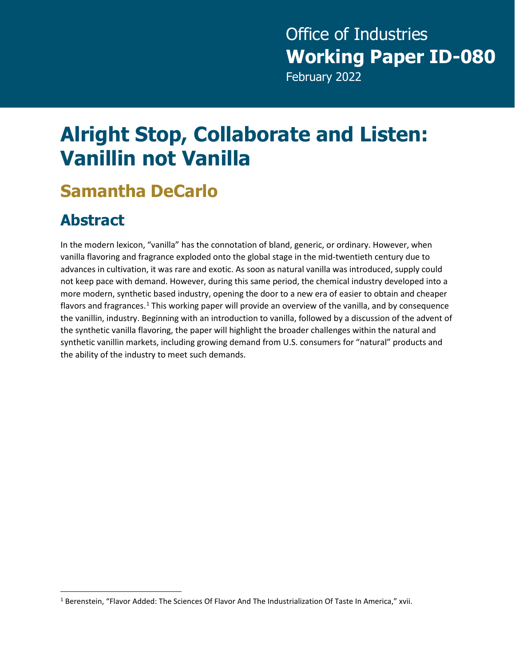# Office of Industries **Working Paper ID-080**

February 2022

# **Alright Stop, Collaborate and Listen: Vanillin not Vanilla**

#### **Samantha DeCarlo**

#### **Abstract**

In the modern lexicon, "vanilla" has the connotation of bland, generic, or ordinary. However, when vanilla flavoring and fragrance exploded onto the global stage in the mid-twentieth century due to advances in cultivation, it was rare and exotic. As soon as natural vanilla was introduced, supply could not keep pace with demand. However, during this same period, the chemical industry developed into a more modern, synthetic based industry, opening the door to a new era of easier to obtain and cheaper flavors and fragrances.<sup>[1](#page-0-0)</sup> This working paper will provide an overview of the vanilla, and by consequence the vanillin, industry. Beginning with an introduction to vanilla, followed by a discussion of the advent of the synthetic vanilla flavoring, the paper will highlight the broader challenges within the natural and synthetic vanillin markets, including growing demand from U.S. consumers for "natural" products and the ability of the industry to meet such demands.

<span id="page-0-0"></span><sup>&</sup>lt;sup>1</sup> Berenstein, "Flavor Added: The Sciences Of Flavor And The Industrialization Of Taste In America," xvii.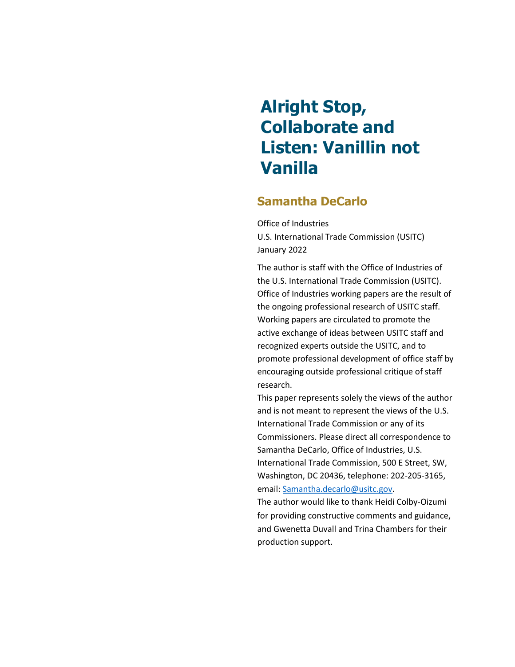#### **Alright Stop, Collaborate and Listen: Vanillin not Vanilla**

#### **Samantha DeCarlo**

Office of Industries U.S. International Trade Commission (USITC) January 2022

The author is staff with the Office of Industries of the U.S. International Trade Commission (USITC). Office of Industries working papers are the result of the ongoing professional research of USITC staff. Working papers are circulated to promote the active exchange of ideas between USITC staff and recognized experts outside the USITC, and to promote professional development of office staff by encouraging outside professional critique of staff research.

This paper represents solely the views of the author and is not meant to represent the views of the U.S. International Trade Commission or any of its Commissioners. Please direct all correspondence to Samantha DeCarlo, Office of Industries, U.S. International Trade Commission, 500 E Street, SW, Washington, DC 20436, telephone: 202-205-3165, email: [Samantha.decarlo@usitc.gov.](mailto:Samantha.decarlo@usitc.gov)

The author would like to thank Heidi Colby-Oizumi for providing constructive comments and guidance, and Gwenetta Duvall and Trina Chambers for their production support.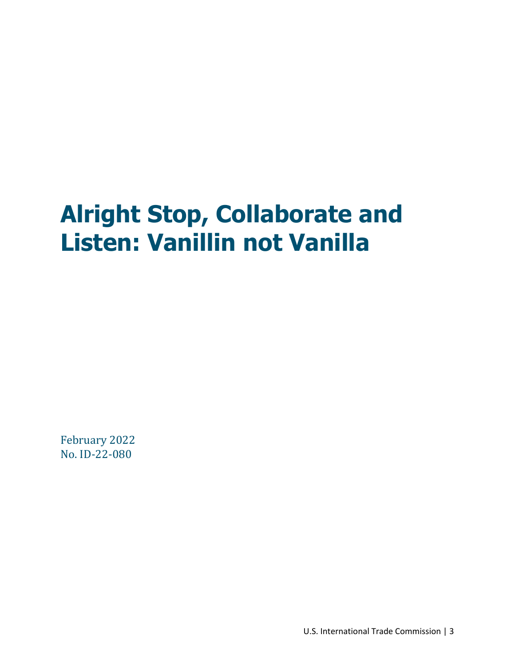# **Alright Stop, Collaborate and Listen: Vanillin not Vanilla**

February 2022 No. ID-22-080

U.S. International Trade Commission | 3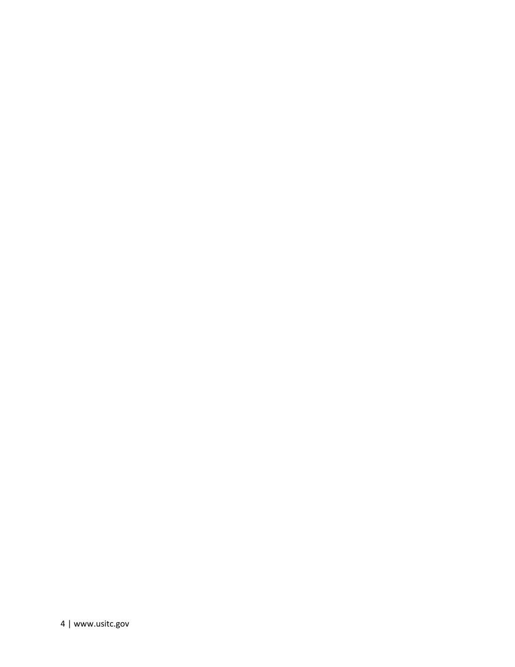| www.usitc.gov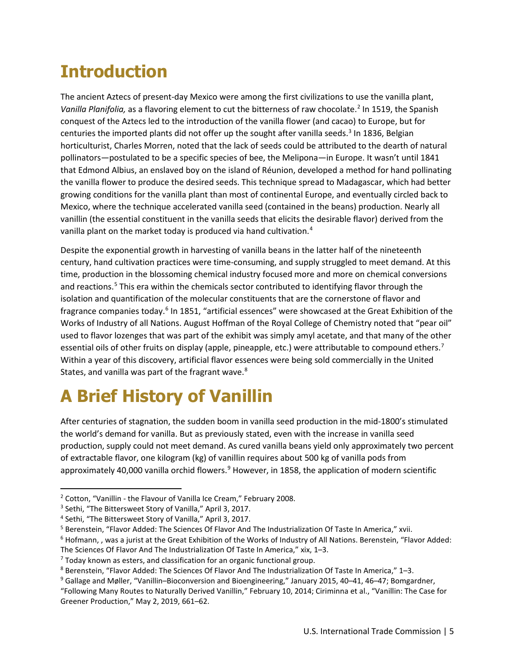### **Introduction**

The ancient Aztecs of present-day Mexico were among the first civilizations to use the vanilla plant, *Vanilla Planifolia,* as a flavoring element to cut the bitterness of raw chocolate.<sup>[2](#page-4-0)</sup> In 1519, the Spanish conquest of the Aztecs led to the introduction of the vanilla flower (and cacao) to Europe, but for centuries the imported plants did not offer up the sought after vanilla seeds. $3$  In 1836, Belgian horticulturist, Charles Morren, noted that the lack of seeds could be attributed to the dearth of natural pollinators—postulated to be a specific species of bee, the Melipona—in Europe. It wasn't until 1841 that Edmond Albius, an enslaved boy on the island of Réunion, developed a method for hand pollinating the vanilla flower to produce the desired seeds. This technique spread to Madagascar, which had better growing conditions for the vanilla plant than most of continental Europe, and eventually circled back to Mexico, where the technique accelerated vanilla seed (contained in the beans) production. Nearly all vanillin (the essential constituent in the vanilla seeds that elicits the desirable flavor) derived from the vanilla plant on the market today is produced via hand cultivation.<sup>[4](#page-4-2)</sup>

Despite the exponential growth in harvesting of vanilla beans in the latter half of the nineteenth century, hand cultivation practices were time-consuming, and supply struggled to meet demand. At this time, production in the blossoming chemical industry focused more and more on chemical conversions and reactions.<sup>[5](#page-4-3)</sup> This era within the chemicals sector contributed to identifying flavor through the isolation and quantification of the molecular constituents that are the cornerstone of flavor and fragrance companies today.<sup>[6](#page-4-4)</sup> In 1851, "artificial essences" were showcased at the Great Exhibition of the Works of Industry of all Nations. August Hoffman of the Royal College of Chemistry noted that "pear oil" used to flavor lozenges that was part of the exhibit was simply amyl acetate, and that many of the other essential oils of other fruits on display (apple, pineapple, etc.) were attributable to compound ethers.<sup>[7](#page-4-5)</sup> Within a year of this discovery, artificial flavor essences were being sold commercially in the United States, and vanilla was part of the fragrant wave.<sup>[8](#page-4-6)</sup>

## **A Brief History of Vanillin**

After centuries of stagnation, the sudden boom in vanilla seed production in the mid-1800's stimulated the world's demand for vanilla. But as previously stated, even with the increase in vanilla seed production, supply could not meet demand. As cured vanilla beans yield only approximately two percent of extractable flavor, one kilogram (kg) of vanillin requires about 500 kg of vanilla pods from approximately 40,000 vanilla orchid flowers.<sup>[9](#page-4-7)</sup> However, in 1858, the application of modern scientific

<span id="page-4-0"></span><sup>&</sup>lt;sup>2</sup> Cotton, "Vanillin - the Flavour of Vanilla Ice Cream," February 2008.

<span id="page-4-1"></span><sup>&</sup>lt;sup>3</sup> Sethi, "The Bittersweet Story of Vanilla," April 3, 2017.

<span id="page-4-2"></span><sup>4</sup> Sethi, "The Bittersweet Story of Vanilla," April 3, 2017.

<span id="page-4-3"></span><sup>5</sup> Berenstein, "Flavor Added: The Sciences Of Flavor And The Industrialization Of Taste In America," xvii.

<span id="page-4-4"></span> $6$  Hofmann, , was a jurist at the Great Exhibition of the Works of Industry of All Nations. Berenstein, "Flavor Added: The Sciences Of Flavor And The Industrialization Of Taste In America," xix, 1–3.

<span id="page-4-5"></span> $7$  Today known as esters, and classification for an organic functional group.

<span id="page-4-6"></span><sup>8</sup> Berenstein, "Flavor Added: The Sciences Of Flavor And The Industrialization Of Taste In America," 1–3.

<span id="page-4-7"></span><sup>9</sup> Gallage and Møller, "Vanillin–Bioconversion and Bioengineering," January 2015, 40–41, 46–47; Bomgardner, "Following Many Routes to Naturally Derived Vanillin," February 10, 2014; Ciriminna et al., "Vanillin: The Case for Greener Production," May 2, 2019, 661–62.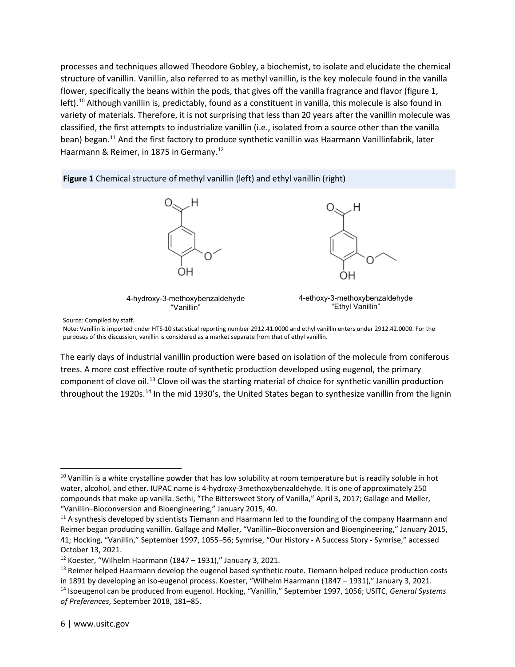processes and techniques allowed Theodore Gobley, a biochemist, to isolate and elucidate the chemical structure of vanillin. Vanillin, also referred to as methyl vanillin, is the key molecule found in the vanilla flower, specifically the beans within the pods, that gives off the vanilla fragrance and flavor (figure 1, left).<sup>[10](#page-5-0)</sup> Although vanillin is, predictably, found as a constituent in vanilla, this molecule is also found in variety of materials. Therefore, it is not surprising that less than 20 years after the vanillin molecule was classified, the first attempts to industrialize vanillin (i.e., isolated from a source other than the vanilla bean) began.<sup>[11](#page-5-1)</sup> And the first factory to produce synthetic vanillin was Haarmann Vanillinfabrik, later Haarmann & Reimer, in 1875 in Germany.<sup>[12](#page-5-2)</sup>



**Figure 1** Chemical structure of methyl vanillin (left) and ethyl vanillin (right)

Note: Vanillin is imported under HTS-10 statistical reporting number 2912.41.0000 and ethyl vanillin enters under 2912.42.0000. For the purposes of this discussion, vanillin is considered as a market separate from that of ethyl vanillin.

The early days of industrial vanillin production were based on isolation of the molecule from coniferous trees. A more cost effective route of synthetic production developed using eugenol, the primary component of clove oil.<sup>[13](#page-5-3)</sup> Clove oil was the starting material of choice for synthetic vanillin production throughout the 1920s.<sup>[14](#page-5-4)</sup> In the mid 1930's, the United States began to synthesize vanillin from the lignin

<span id="page-5-0"></span> $10$  Vanillin is a white crystalline powder that has low solubility at room temperature but is readily soluble in hot water, alcohol, and ether. IUPAC name is 4-hydroxy-3methoxybenzaldehyde. It is one of approximately 250 compounds that make up vanilla. Sethi, "The Bittersweet Story of Vanilla," April 3, 2017; Gallage and Møller, "Vanillin–Bioconversion and Bioengineering," January 2015, 40.

<span id="page-5-1"></span><sup>&</sup>lt;sup>11</sup> A synthesis developed by scientists Tiemann and Haarmann led to the founding of the company Haarmann and Reimer began producing vanillin. Gallage and Møller, "Vanillin–Bioconversion and Bioengineering," January 2015, 41; Hocking, "Vanillin," September 1997, 1055–56; Symrise, "Our History - A Success Story - Symrise," accessed October 13, 2021.

<span id="page-5-2"></span><sup>12</sup> Koester, "Wilhelm Haarmann (1847 – 1931)," January 3, 2021.

<span id="page-5-3"></span><sup>&</sup>lt;sup>13</sup> Reimer helped Haarmann develop the eugenol based synthetic route. Tiemann helped reduce production costs in 1891 by developing an iso-eugenol process. Koester, "Wilhelm Haarmann (1847 – 1931)," January 3, 2021.

<span id="page-5-4"></span><sup>14</sup> Isoeugenol can be produced from eugenol. Hocking, "Vanillin," September 1997, 1056; USITC, *General Systems of Preferences*, September 2018, 181–85.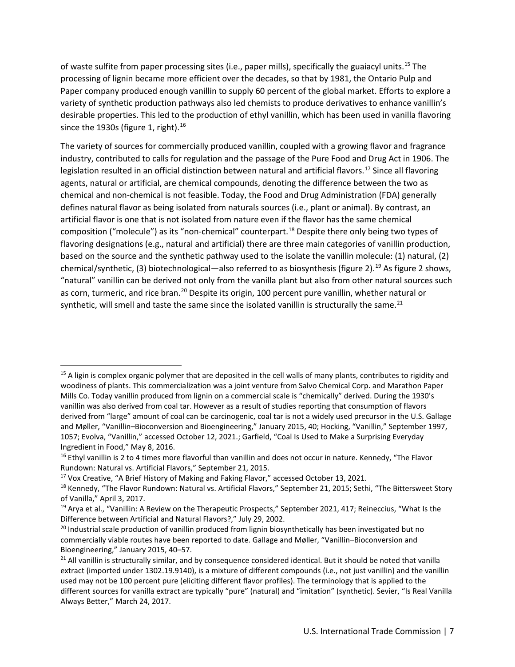of waste sulfite from paper processing sites (i.e., paper mills), specifically the guaiacyl units.[15](#page-6-0) The processing of lignin became more efficient over the decades, so that by 1981, the Ontario Pulp and Paper company produced enough vanillin to supply 60 percent of the global market. Efforts to explore a variety of synthetic production pathways also led chemists to produce derivatives to enhance vanillin's desirable properties. This led to the production of ethyl vanillin, which has been used in vanilla flavoring since the 1930s (figure 1, right). $16$ 

The variety of sources for commercially produced vanillin, coupled with a growing flavor and fragrance industry, contributed to calls for regulation and the passage of the Pure Food and Drug Act in 1906. The legislation resulted in an official distinction between natural and artificial flavors.<sup>[17](#page-6-2)</sup> Since all flavoring agents, natural or artificial, are chemical compounds, denoting the difference between the two as chemical and non-chemical is not feasible. Today, the Food and Drug Administration (FDA) generally defines natural flavor as being isolated from naturals sources (i.e., plant or animal). By contrast, an artificial flavor is one that is not isolated from nature even if the flavor has the same chemical composition ("molecule") as its "non-chemical" counterpart.<sup>[18](#page-6-3)</sup> Despite there only being two types of flavoring designations (e.g., natural and artificial) there are three main categories of vanillin production, based on the source and the synthetic pathway used to the isolate the vanillin molecule: (1) natural, (2) chemical/synthetic, (3) biotechnological—also referred to as biosynthesis (figure 2).[19](#page-6-4) As figure 2 shows, "natural" vanillin can be derived not only from the vanilla plant but also from other natural sources such as corn, turmeric, and rice bran.<sup>[20](#page-6-5)</sup> Despite its origin, 100 percent pure vanillin, whether natural or synthetic, will smell and taste the same since the isolated vanillin is structurally the same.<sup>[21](#page-6-6)</sup>

<span id="page-6-0"></span> $15$  A ligin is complex organic polymer that are deposited in the cell walls of many plants, contributes to rigidity and woodiness of plants. This commercialization was a joint venture from Salvo Chemical Corp. and Marathon Paper Mills Co. Today vanillin produced from lignin on a commercial scale is "chemically" derived. During the 1930's vanillin was also derived from coal tar. However as a result of studies reporting that consumption of flavors derived from "large" amount of coal can be carcinogenic, coal tar is not a widely used precursor in the U.S. Gallage and Møller, "Vanillin–Bioconversion and Bioengineering," January 2015, 40; Hocking, "Vanillin," September 1997, 1057; Evolva, "Vanillin," accessed October 12, 2021.; Garfield, "Coal Is Used to Make a Surprising Everyday Ingredient in Food," May 8, 2016.

<span id="page-6-1"></span><sup>&</sup>lt;sup>16</sup> Ethyl vanillin is 2 to 4 times more flavorful than vanillin and does not occur in nature. Kennedy, "The Flavor Rundown: Natural vs. Artificial Flavors," September 21, 2015.

<span id="page-6-2"></span><sup>&</sup>lt;sup>17</sup> Vox Creative, "A Brief History of Making and Faking Flavor," accessed October 13, 2021.

<span id="page-6-3"></span><sup>&</sup>lt;sup>18</sup> Kennedy, "The Flavor Rundown: Natural vs. Artificial Flavors," September 21, 2015; Sethi, "The Bittersweet Story of Vanilla," April 3, 2017.

<span id="page-6-4"></span><sup>&</sup>lt;sup>19</sup> Arya et al., "Vanillin: A Review on the Therapeutic Prospects," September 2021, 417; Reineccius, "What Is the Difference between Artificial and Natural Flavors?," July 29, 2002.

<span id="page-6-5"></span><sup>&</sup>lt;sup>20</sup> Industrial scale production of vanillin produced from lignin biosynthetically has been investigated but no commercially viable routes have been reported to date. Gallage and Møller, "Vanillin–Bioconversion and Bioengineering," January 2015, 40–57.

<span id="page-6-6"></span> $21$  All vanillin is structurally similar, and by consequence considered identical. But it should be noted that vanilla extract (imported under 1302.19.9140), is a mixture of different compounds (i.e., not just vanillin) and the vanillin used may not be 100 percent pure (eliciting different flavor profiles). The terminology that is applied to the different sources for vanilla extract are typically "pure" (natural) and "imitation" (synthetic). Sevier, "Is Real Vanilla Always Better," March 24, 2017.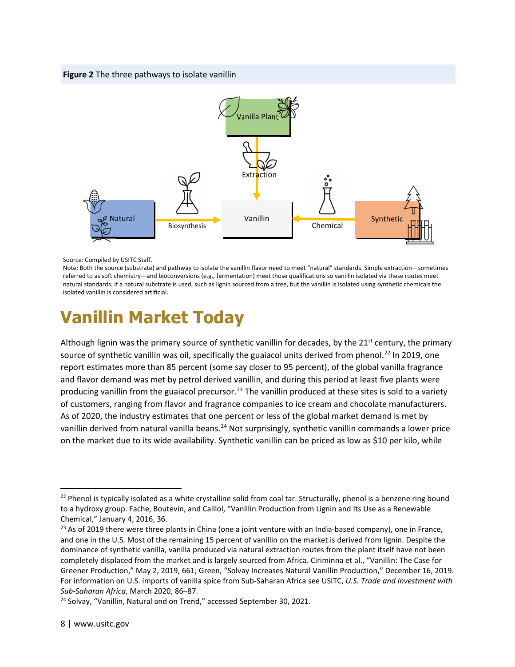#### **Figure 2** The three pathways to isolate vanillin



Source: Compiled by USITC Staff.

Note: Both the source (substrate) and pathway to isolate the vanillin flavor need to meet "natural" standards. Simple extraction—sometimes referred to as soft chemistry—and bioconversions (e.g., fermentation) meet those qualifications so vanillin isolated via these routes meet natural standards. If a natural substrate is used, such as lignin sourced from a tree, but the vanillin is isolated using synthetic chemicals the isolated vanillin is considered artificial.

#### **Vanillin Market Today**

Although lignin was the primary source of synthetic vanillin for decades, by the  $21<sup>st</sup>$  century, the primary source of synthetic vanillin was oil, specifically the guaiacol units derived from phenol.<sup>[22](#page-7-0)</sup> In 2019, one report estimates more than 85 percent (some say closer to 95 percent), of the global vanilla fragrance and flavor demand was met by petrol derived vanillin, and during this period at least five plants were producing vanillin from the guaiacol precursor.<sup>[23](#page-7-1)</sup> The vanillin produced at these sites is sold to a variety of customers, ranging from flavor and fragrance companies to ice cream and chocolate manufacturers. As of 2020, the industry estimates that one percent or less of the global market demand is met by vanillin derived from natural vanilla beans.<sup>[24](#page-7-2)</sup> Not surprisingly, synthetic vanillin commands a lower price on the market due to its wide availability. Synthetic vanillin can be priced as low as \$10 per kilo, while

<span id="page-7-0"></span><sup>&</sup>lt;sup>22</sup> Phenol is typically isolated as a white crystalline solid from coal tar. Structurally, phenol is a benzene ring bound to a hydroxy group. Fache, Boutevin, and Caillol, "Vanillin Production from Lignin and Its Use as a Renewable Chemical," January 4, 2016, 36.

<span id="page-7-1"></span> $23$  As of 2019 there were three plants in China (one a joint venture with an India-based company), one in France, and one in the U.S. Most of the remaining 15 percent of vanillin on the market is derived from lignin. Despite the dominance of synthetic vanilla, vanilla produced via natural extraction routes from the plant itself have not been completely displaced from the market and is largely sourced from Africa. Ciriminna et al., "Vanillin: The Case for Greener Production," May 2, 2019, 661; Green, "Solvay Increases Natural Vanillin Production," December 16, 2019. For information on U.S. imports of vanilla spice from Sub-Saharan Africa see USITC, *U.S. Trade and Investment with Sub-Saharan Africa*, March 2020, 86–87.

<span id="page-7-2"></span><sup>&</sup>lt;sup>24</sup> Solvay, "Vanillin, Natural and on Trend," accessed September 30, 2021.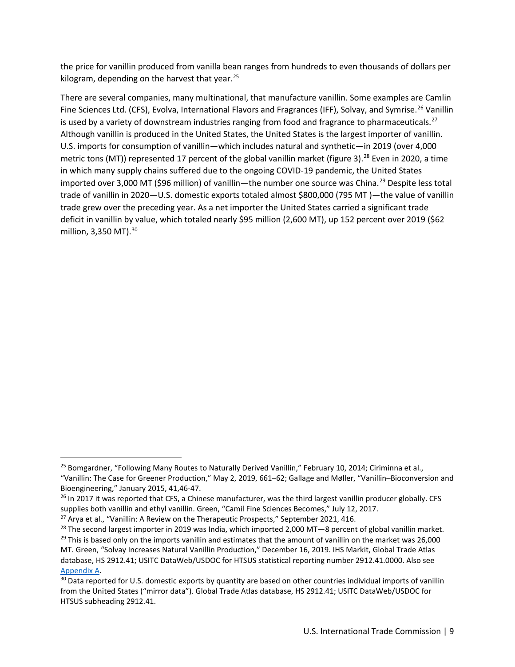the price for vanillin produced from vanilla bean ranges from hundreds to even thousands of dollars per kilogram, depending on the harvest that year. $25$ 

There are several companies, many multinational, that manufacture vanillin. Some examples are Camlin Fine Sciences Ltd. (CFS), Evolva, International Flavors and Fragrances (IFF), Solvay, and Symrise.<sup>[26](#page-8-1)</sup> Vanillin is used by a variety of downstream industries ranging from food and fragrance to pharmaceuticals.<sup>[27](#page-8-2)</sup> Although vanillin is produced in the United States, the United States is the largest importer of vanillin. U.S. imports for consumption of vanillin—which includes natural and synthetic—in 2019 (over 4,000 metric tons (MT)) represented 17 percent of the global vanillin market (figure 3).<sup>[28](#page-8-3)</sup> Even in 2020, a time in which many supply chains suffered due to the ongoing COVID-19 pandemic, the United States imported over 3,000 MT (\$96 million) of vanillin—the number one source was China.<sup>[29](#page-8-4)</sup> Despite less total trade of vanillin in 2020—U.S. domestic exports totaled almost \$800,000 (795 MT )—the value of vanillin trade grew over the preceding year. As a net importer the United States carried a significant trade deficit in vanillin by value, which totaled nearly \$95 million (2,600 MT), up 152 percent over 2019 (\$62 million, 3,350 MT). [30](#page-8-5)

<span id="page-8-0"></span><sup>&</sup>lt;sup>25</sup> Bomgardner, "Following Many Routes to Naturally Derived Vanillin," February 10, 2014; Ciriminna et al., "Vanillin: The Case for Greener Production," May 2, 2019, 661–62; Gallage and Møller, "Vanillin–Bioconversion and Bioengineering," January 2015, 41,46-47.

<span id="page-8-1"></span> $26$  In 2017 it was reported that CFS, a Chinese manufacturer, was the third largest vanillin producer globally. CFS supplies both vanillin and ethyl vanillin. Green, "Camil Fine Sciences Becomes," July 12, 2017.

<span id="page-8-2"></span><sup>&</sup>lt;sup>27</sup> Arya et al., "Vanillin: A Review on the Therapeutic Prospects," September 2021, 416.

<span id="page-8-3"></span><sup>&</sup>lt;sup>28</sup> The second largest importer in 2019 was India, which imported 2,000 MT-8 percent of global vanillin market.

<span id="page-8-4"></span> $29$  This is based only on the imports vanillin and estimates that the amount of vanillin on the market was 26,000 MT. Green, "Solvay Increases Natural Vanillin Production," December 16, 2019. IHS Markit, Global Trade Atlas database, HS 2912.41; USITC DataWeb/USDOC for HTSUS statistical reporting number 2912.41.0000. Also see Appendix A.

<span id="page-8-5"></span><sup>&</sup>lt;sup>30</sup> Data reported for U.S. domestic exports by quantity are based on other countries individual imports of vanillin from the United States ("mirror data"). Global Trade Atlas database, HS 2912.41; USITC DataWeb/USDOC for HTSUS subheading 2912.41.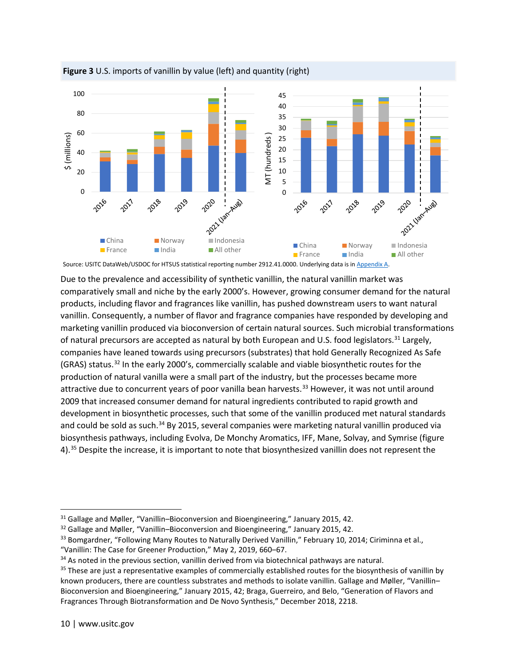



Due to the prevalence and accessibility of synthetic vanillin, the natural vanillin market was comparatively small and niche by the early 2000's. However, growing consumer demand for the natural products, including flavor and fragrances like vanillin, has pushed downstream users to want natural vanillin. Consequently, a number of flavor and fragrance companies have responded by developing and marketing vanillin produced via bioconversion of certain natural sources. Such microbial transformations of natural precursors are accepted as natural by both European and U.S. food legislators.<sup>[31](#page-9-0)</sup> Largely, companies have leaned towards using precursors (substrates) that hold Generally Recognized As Safe (GRAS) status.<sup>[32](#page-9-1)</sup> In the early 2000's, commercially scalable and viable biosynthetic routes for the production of natural vanilla were a small part of the industry, but the processes became more attractive due to concurrent years of poor vanilla bean harvests.<sup>[33](#page-9-2)</sup> However, it was not until around 2009 that increased consumer demand for natural ingredients contributed to rapid growth and development in biosynthetic processes, such that some of the vanillin produced met natural standards and could be sold as such.<sup>[34](#page-9-3)</sup> By 2015, several companies were marketing natural vanillin produced via biosynthesis pathways, including Evolva, De Monchy Aromatics, IFF, Mane, Solvay, and Symrise (figure 4).<sup>[35](#page-9-4)</sup> Despite the increase, it is important to note that biosynthesized vanillin does not represent the

Source: USITC DataWeb/USDOC for HTSUS statistical reporting number 2912.41.0000. Underlying data is in Appendix A.

<span id="page-9-0"></span><sup>&</sup>lt;sup>31</sup> Gallage and Møller, "Vanillin-Bioconversion and Bioengineering," January 2015, 42.

<span id="page-9-1"></span><sup>&</sup>lt;sup>32</sup> Gallage and Møller, "Vanillin–Bioconversion and Bioengineering," January 2015, 42.

<span id="page-9-2"></span><sup>&</sup>lt;sup>33</sup> Bomgardner, "Following Many Routes to Naturally Derived Vanillin," February 10, 2014; Ciriminna et al.,

<sup>&</sup>quot;Vanillin: The Case for Greener Production," May 2, 2019, 660–67.

<span id="page-9-3"></span><sup>&</sup>lt;sup>34</sup> As noted in the previous section, vanillin derived from via biotechnical pathways are natural.

<span id="page-9-4"></span><sup>&</sup>lt;sup>35</sup> These are just a representative examples of commercially established routes for the biosynthesis of vanillin by known producers, there are countless substrates and methods to isolate vanillin. Gallage and Møller, "Vanillin– Bioconversion and Bioengineering," January 2015, 42; Braga, Guerreiro, and Belo, "Generation of Flavors and Fragrances Through Biotransformation and De Novo Synthesis," December 2018, 2218.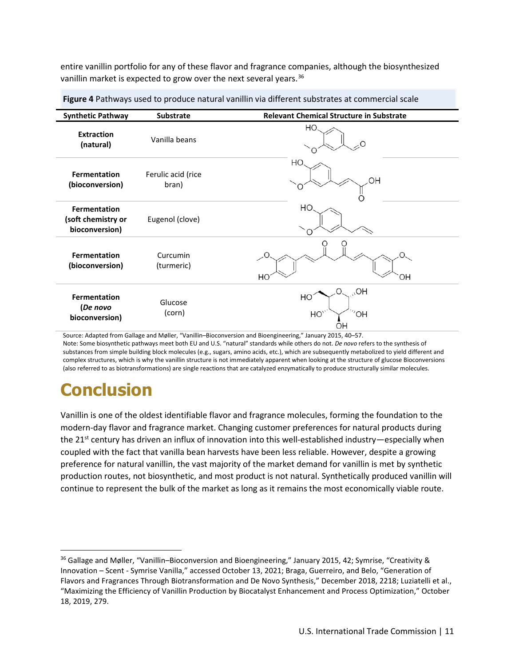entire vanillin portfolio for any of these flavor and fragrance companies, although the biosynthesized vanillin market is expected to grow over the next several years.<sup>[36](#page-10-0)</sup>

| <b>Synthetic Pathway</b>                                    | <b>Substrate</b>            | <b>Relevant Chemical Structure in Substrate</b>       |  |  |  |
|-------------------------------------------------------------|-----------------------------|-------------------------------------------------------|--|--|--|
| <b>Extraction</b><br>(natural)                              | Vanilla beans               | HO.<br>∩                                              |  |  |  |
| <b>Fermentation</b><br>(bioconversion)                      | Ferulic acid (rice<br>bran) | HO<br>OН                                              |  |  |  |
| <b>Fermentation</b><br>(soft chemistry or<br>bioconversion) | Eugenol (clove)             | HO                                                    |  |  |  |
| <b>Fermentation</b><br>(bioconversion)                      | Curcumin<br>(turmeric)      | HO<br>OН                                              |  |  |  |
| <b>Fermentation</b><br>(De novo<br>bioconversion)           | Glucose<br>(corn)           | $HO_{\ell_{\ell}}$<br>O.<br>HO<br>HO'<br>$'$ OH<br>OН |  |  |  |

**Figure 4** Pathways used to produce natural vanillin via different substrates at commercial scale

Source: Adapted from Gallage and Møller, "Vanillin–Bioconversion and Bioengineering," January 2015, 40–57. Note: Some biosynthetic pathways meet both EU and U.S. "natural" standards while others do not. *De novo* refers to the synthesis of substances from simple building block molecules (e.g., sugars, amino acids, etc.), which are subsequently metabolized to yield different and complex structures, which is why the vanillin structure is not immediately apparent when looking at the structure of glucose Bioconversions (also referred to as biotransformations) are single reactions that are catalyzed enzymatically to produce structurally similar molecules.

## **Conclusion**

Vanillin is one of the oldest identifiable flavor and fragrance molecules, forming the foundation to the modern-day flavor and fragrance market. Changing customer preferences for natural products during the 21<sup>st</sup> century has driven an influx of innovation into this well-established industry—especially when coupled with the fact that vanilla bean harvests have been less reliable. However, despite a growing preference for natural vanillin, the vast majority of the market demand for vanillin is met by synthetic production routes, not biosynthetic, and most product is not natural. Synthetically produced vanillin will continue to represent the bulk of the market as long as it remains the most economically viable route.

<span id="page-10-0"></span><sup>&</sup>lt;sup>36</sup> Gallage and Møller, "Vanillin–Bioconversion and Bioengineering," January 2015, 42; Symrise, "Creativity & Innovation – Scent - Symrise Vanilla," accessed October 13, 2021; Braga, Guerreiro, and Belo, "Generation of Flavors and Fragrances Through Biotransformation and De Novo Synthesis," December 2018, 2218; Luziatelli et al., "Maximizing the Efficiency of Vanillin Production by Biocatalyst Enhancement and Process Optimization," October 18, 2019, 279.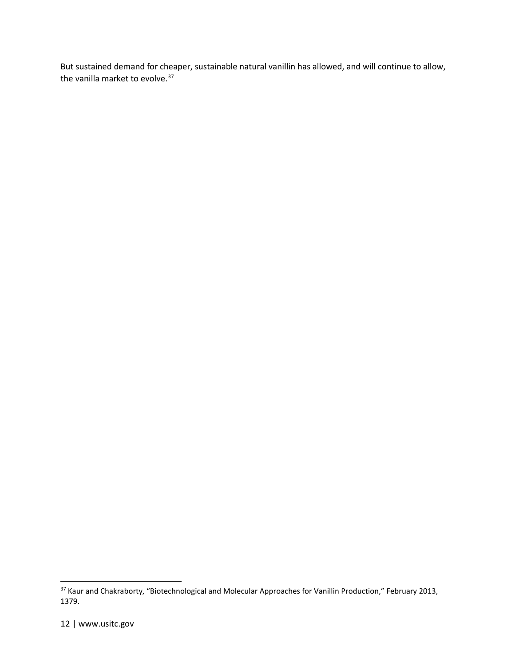But sustained demand for cheaper, sustainable natural vanillin has allowed, and will continue to allow, the vanilla market to evolve.<sup>[37](#page-11-0)</sup>

<span id="page-11-0"></span><sup>&</sup>lt;sup>37</sup> Kaur and Chakraborty, "Biotechnological and Molecular Approaches for Vanillin Production," February 2013, 1379.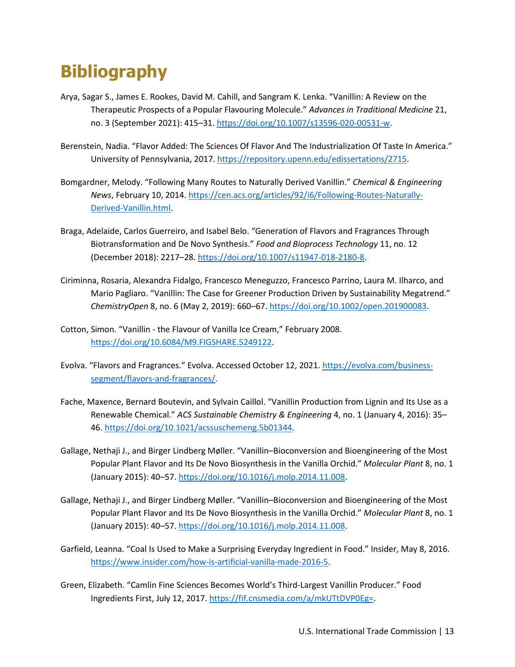## **Bibliography**

- Arya, Sagar S., James E. Rookes, David M. Cahill, and Sangram K. Lenka. "Vanillin: A Review on the Therapeutic Prospects of a Popular Flavouring Molecule." *Advances in Traditional Medicine* 21, no. 3 (September 2021): 415–31. [https://doi.org/10.1007/s13596-020-00531-w.](https://doi.org/10.1007/s13596-020-00531-w)
- Berenstein, Nadia. "Flavor Added: The Sciences Of Flavor And The Industrialization Of Taste In America." University of Pennsylvania, 2017[. https://repository.upenn.edu/edissertations/2715.](https://repository.upenn.edu/edissertations/2715)
- Bomgardner, Melody. "Following Many Routes to Naturally Derived Vanillin." *Chemical & Engineering News*, February 10, 2014. [https://cen.acs.org/articles/92/i6/Following-Routes-Naturally-](https://cen.acs.org/articles/92/i6/Following-Routes-Naturally-Derived-Vanillin.html)[Derived-Vanillin.html.](https://cen.acs.org/articles/92/i6/Following-Routes-Naturally-Derived-Vanillin.html)
- Braga, Adelaide, Carlos Guerreiro, and Isabel Belo. "Generation of Flavors and Fragrances Through Biotransformation and De Novo Synthesis." *Food and Bioprocess Technology* 11, no. 12 (December 2018): 2217–28. [https://doi.org/10.1007/s11947-018-2180-8.](https://doi.org/10.1007/s11947-018-2180-8)
- Ciriminna, Rosaria, Alexandra Fidalgo, Francesco Meneguzzo, Francesco Parrino, Laura M. Ilharco, and Mario Pagliaro. "Vanillin: The Case for Greener Production Driven by Sustainability Megatrend." *ChemistryOpen* 8, no. 6 (May 2, 2019): 660–67[. https://doi.org/10.1002/open.201900083.](https://doi.org/10.1002/open.201900083)
- Cotton, Simon. "Vanillin the Flavour of Vanilla Ice Cream," February 2008. [https://doi.org/10.6084/M9.FIGSHARE.5249122.](https://doi.org/10.6084/M9.FIGSHARE.5249122)
- Evolva. "Flavors and Fragrances." Evolva. Accessed October 12, 2021. [https://evolva.com/business](https://evolva.com/business-segment/flavors-and-fragrances/)[segment/flavors-and-fragrances/.](https://evolva.com/business-segment/flavors-and-fragrances/)
- Fache, Maxence, Bernard Boutevin, and Sylvain Caillol. "Vanillin Production from Lignin and Its Use as a Renewable Chemical." *ACS Sustainable Chemistry & Engineering* 4, no. 1 (January 4, 2016): 35– 46[. https://doi.org/10.1021/acssuschemeng.5b01344.](https://doi.org/10.1021/acssuschemeng.5b01344)
- Gallage, Nethaji J., and Birger Lindberg Møller. "Vanillin–Bioconversion and Bioengineering of the Most Popular Plant Flavor and Its De Novo Biosynthesis in the Vanilla Orchid." *Molecular Plant* 8, no. 1 (January 2015): 40–57[. https://doi.org/10.1016/j.molp.2014.11.008.](https://doi.org/10.1016/j.molp.2014.11.008)
- Gallage, Nethaji J., and Birger Lindberg Møller. "Vanillin–Bioconversion and Bioengineering of the Most Popular Plant Flavor and Its De Novo Biosynthesis in the Vanilla Orchid." *Molecular Plant* 8, no. 1 (January 2015): 40–57[. https://doi.org/10.1016/j.molp.2014.11.008.](https://doi.org/10.1016/j.molp.2014.11.008)
- Garfield, Leanna. "Coal Is Used to Make a Surprising Everyday Ingredient in Food." Insider, May 8, 2016. [https://www.insider.com/how-is-artificial-vanilla-made-2016-5.](https://www.insider.com/how-is-artificial-vanilla-made-2016-5)
- Green, Elizabeth. "Camlin Fine Sciences Becomes World's Third-Largest Vanillin Producer." Food Ingredients First, July 12, 2017. [https://fif.cnsmedia.com/a/mkUTtDVP0Eg=.](https://fif.cnsmedia.com/a/mkUTtDVP0Eg=)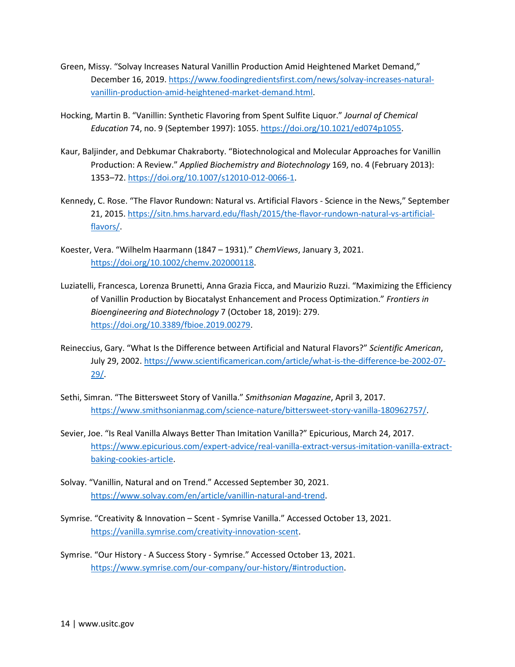- Green, Missy. "Solvay Increases Natural Vanillin Production Amid Heightened Market Demand," December 16, 2019[. https://www.foodingredientsfirst.com/news/solvay-increases-natural](https://www.foodingredientsfirst.com/news/solvay-increases-natural-vanillin-production-amid-heightened-market-demand.html)[vanillin-production-amid-heightened-market-demand.html.](https://www.foodingredientsfirst.com/news/solvay-increases-natural-vanillin-production-amid-heightened-market-demand.html)
- Hocking, Martin B. "Vanillin: Synthetic Flavoring from Spent Sulfite Liquor." *Journal of Chemical Education* 74, no. 9 (September 1997): 1055. [https://doi.org/10.1021/ed074p1055.](https://doi.org/10.1021/ed074p1055)
- Kaur, Baljinder, and Debkumar Chakraborty. "Biotechnological and Molecular Approaches for Vanillin Production: A Review." *Applied Biochemistry and Biotechnology* 169, no. 4 (February 2013): 1353–72. [https://doi.org/10.1007/s12010-012-0066-1.](https://doi.org/10.1007/s12010-012-0066-1)
- Kennedy, C. Rose. "The Flavor Rundown: Natural vs. Artificial Flavors Science in the News," September 21, 2015. [https://sitn.hms.harvard.edu/flash/2015/the-flavor-rundown-natural-vs-artificial](https://sitn.hms.harvard.edu/flash/2015/the-flavor-rundown-natural-vs-artificial-flavors/)[flavors/.](https://sitn.hms.harvard.edu/flash/2015/the-flavor-rundown-natural-vs-artificial-flavors/)
- Koester, Vera. "Wilhelm Haarmann (1847 1931)." *ChemViews*, January 3, 2021. [https://doi.org/10.1002/chemv.202000118.](https://doi.org/10.1002/chemv.202000118)
- Luziatelli, Francesca, Lorenza Brunetti, Anna Grazia Ficca, and Maurizio Ruzzi. "Maximizing the Efficiency of Vanillin Production by Biocatalyst Enhancement and Process Optimization." *Frontiers in Bioengineering and Biotechnology* 7 (October 18, 2019): 279. [https://doi.org/10.3389/fbioe.2019.00279.](https://doi.org/10.3389/fbioe.2019.00279)
- Reineccius, Gary. "What Is the Difference between Artificial and Natural Flavors?" *Scientific American*, July 29, 2002. [https://www.scientificamerican.com/article/what-is-the-difference-be-2002-07-](https://www.scientificamerican.com/article/what-is-the-difference-be-2002-07-29/) [29/.](https://www.scientificamerican.com/article/what-is-the-difference-be-2002-07-29/)
- Sethi, Simran. "The Bittersweet Story of Vanilla." *Smithsonian Magazine*, April 3, 2017. [https://www.smithsonianmag.com/science-nature/bittersweet-story-vanilla-180962757/.](https://www.smithsonianmag.com/science-nature/bittersweet-story-vanilla-180962757/)
- Sevier, Joe. "Is Real Vanilla Always Better Than Imitation Vanilla?" Epicurious, March 24, 2017. [https://www.epicurious.com/expert-advice/real-vanilla-extract-versus-imitation-vanilla-extract](https://www.epicurious.com/expert-advice/real-vanilla-extract-versus-imitation-vanilla-extract-baking-cookies-article)[baking-cookies-article.](https://www.epicurious.com/expert-advice/real-vanilla-extract-versus-imitation-vanilla-extract-baking-cookies-article)
- Solvay. "Vanillin, Natural and on Trend." Accessed September 30, 2021. [https://www.solvay.com/en/article/vanillin-natural-and-trend.](https://www.solvay.com/en/article/vanillin-natural-and-trend)
- Symrise. "Creativity & Innovation Scent Symrise Vanilla." Accessed October 13, 2021. [https://vanilla.symrise.com/creativity-innovation-scent.](https://vanilla.symrise.com/creativity-innovation-scent)
- Symrise. "Our History A Success Story Symrise." Accessed October 13, 2021. [https://www.symrise.com/our-company/our-history/#introduction.](https://www.symrise.com/our-company/our-history/%23introduction)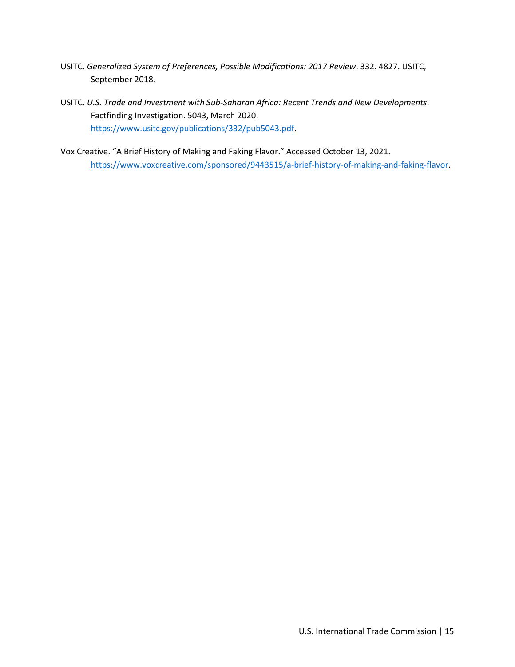- USITC. *Generalized System of Preferences, Possible Modifications: 2017 Review*. 332. 4827. USITC, September 2018.
- USITC. *U.S. Trade and Investment with Sub-Saharan Africa: Recent Trends and New Developments*. Factfinding Investigation. 5043, March 2020. [https://www.usitc.gov/publications/332/pub5043.pdf.](https://www.usitc.gov/publications/332/pub5043.pdf)
- Vox Creative. "A Brief History of Making and Faking Flavor." Accessed October 13, 2021. [https://www.voxcreative.com/sponsored/9443515/a-brief-history-of-making-and-faking-flavor.](https://www.voxcreative.com/sponsored/9443515/a-brief-history-of-making-and-faking-flavor)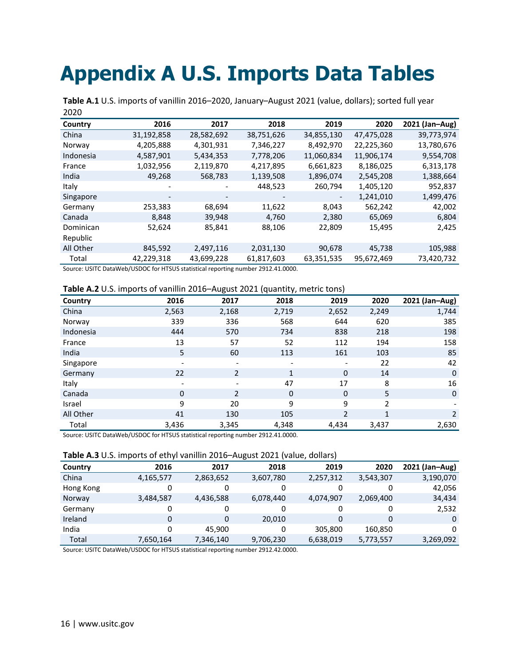# **Appendix A U.S. Imports Data Tables**

| Country   | 2016                     | 2017                         | 2018       | 2019                         | 2020       | 2021 (Jan-Aug) |
|-----------|--------------------------|------------------------------|------------|------------------------------|------------|----------------|
| China     | 31,192,858               | 28,582,692                   | 38,751,626 | 34,855,130                   | 47,475,028 | 39,773,974     |
| Norway    | 4,205,888                | 4,301,931                    | 7,346,227  | 8,492,970                    | 22,225,360 | 13,780,676     |
| Indonesia | 4,587,901                | 5,434,353                    | 7,778,206  | 11,060,834                   | 11,906,174 | 9,554,708      |
| France    | 1,032,956                | 2,119,870                    | 4,217,895  | 6,661,823                    | 8,186,025  | 6,313,178      |
| India     | 49,268                   | 568,783                      | 1,139,508  | 1,896,074                    | 2,545,208  | 1,388,664      |
| Italy     | $\overline{\phantom{a}}$ |                              | 448,523    | 260,794                      | 1,405,120  | 952,837        |
| Singapore | $\overline{\phantom{a}}$ | $\qquad \qquad \blacksquare$ |            | $\qquad \qquad \blacksquare$ | 1,241,010  | 1,499,476      |
| Germany   | 253,383                  | 68,694                       | 11,622     | 8,043                        | 562,242    | 42,002         |
| Canada    | 8,848                    | 39,948                       | 4,760      | 2,380                        | 65,069     | 6,804          |
| Dominican | 52,624                   | 85,841                       | 88,106     | 22,809                       | 15,495     | 2,425          |
| Republic  |                          |                              |            |                              |            |                |
| All Other | 845,592                  | 2,497,116                    | 2,031,130  | 90,678                       | 45,738     | 105,988        |
| Total     | 42,229,318               | 43,699,228                   | 61,817,603 | 63,351,535                   | 95,672,469 | 73,420,732     |

**Table A.1** U.S. imports of vanillin 2016–2020, January–August 2021 (value, dollars); sorted full year 2020

Source: USITC DataWeb/USDOC for HTSUS statistical reporting number 2912.41.0000.

|  | Table A.2 U.S. imports of vanillin 2016-August 2021 (quantity, metric tons) |
|--|-----------------------------------------------------------------------------|
|  |                                                                             |

| Country   | 2016     | 2017                     | 2018                     | 2019           | 2020         | 2021 (Jan-Aug) |
|-----------|----------|--------------------------|--------------------------|----------------|--------------|----------------|
| China     | 2,563    | 2,168                    | 2,719                    | 2,652          | 2,249        | 1,744          |
| Norway    | 339      | 336                      | 568                      | 644            | 620          | 385            |
| Indonesia | 444      | 570                      | 734                      | 838            | 218          | 198            |
| France    | 13       | 57                       | 52                       | 112            | 194          | 158            |
| India     | 5        | 60                       | 113                      | 161            | 103          | 85             |
| Singapore | -        | -                        | $\overline{\phantom{a}}$ | -              | 22           | 42             |
| Germany   | 22       | $\overline{2}$           | 1                        | $\mathbf 0$    | 14           | $\mathbf 0$    |
| Italy     |          | $\overline{\phantom{0}}$ | 47                       | 17             | 8            | 16             |
| Canada    | $\Omega$ | $\overline{2}$           | $\Omega$                 | $\mathbf 0$    | 5            | $\mathbf{0}$   |
| Israel    | 9        | 20                       | 9                        | 9              | 2            |                |
| All Other | 41       | 130                      | 105                      | $\overline{2}$ | $\mathbf{1}$ | $\overline{2}$ |
| Total     | 3,436    | 3,345                    | 4,348                    | 4,434          | 3,437        | 2,630          |

Source: USITC DataWeb/USDOC for HTSUS statistical reporting number 2912.41.0000.

|  |  |  | Table A.3 U.S. imports of ethyl vanillin 2016-August 2021 (value, dollars) |  |
|--|--|--|----------------------------------------------------------------------------|--|
|--|--|--|----------------------------------------------------------------------------|--|

| Country   | 2016      | 2017      | 2018      | 2019      | 2020      | 2021 (Jan-Aug) |
|-----------|-----------|-----------|-----------|-----------|-----------|----------------|
| China     | 4,165,577 | 2,863,652 | 3,607,780 | 2,257,312 | 3,543,307 | 3,190,070      |
| Hong Kong | 0         | 0         |           | 0         | 0         | 42,056         |
| Norway    | 3,484,587 | 4,436,588 | 6,078,440 | 4,074,907 | 2,069,400 | 34,434         |
| Germany   | 0         |           |           | 0         | 0         | 2,532          |
| Ireland   | 0         | 0         | 20,010    | 0         | 0         | $\Omega$       |
| India     | 0         | 45.900    | 0         | 305,800   | 160,850   | $\mathbf{0}$   |
| Total     | 7,650,164 | 7,346,140 | 9,706,230 | 6,638,019 | 5,773,557 | 3,269,092      |

Source: USITC DataWeb/USDOC for HTSUS statistical reporting number 2912.42.0000.